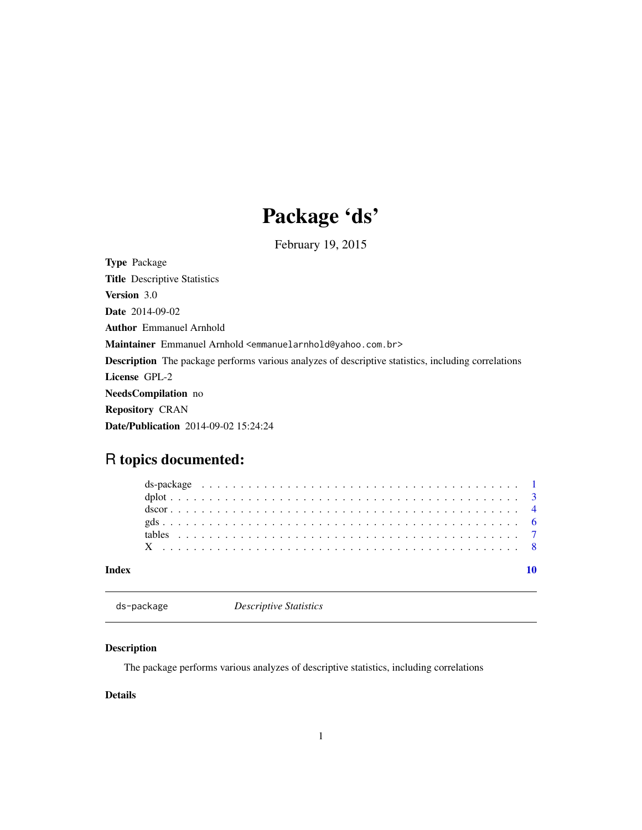# Package 'ds'

February 19, 2015

<span id="page-0-0"></span>Type Package Title Descriptive Statistics Version 3.0 Date 2014-09-02 Author Emmanuel Arnhold Maintainer Emmanuel Arnhold <emmanuelarnhold@yahoo.com.br> Description The package performs various analyzes of descriptive statistics, including correlations License GPL-2 NeedsCompilation no Repository CRAN Date/Publication 2014-09-02 15:24:24

# R topics documented:

| Index |  |  |  |  |  |  |  |  |  |  |  |  |  |  |  |  |  |  |  |  |  |  |
|-------|--|--|--|--|--|--|--|--|--|--|--|--|--|--|--|--|--|--|--|--|--|--|
|       |  |  |  |  |  |  |  |  |  |  |  |  |  |  |  |  |  |  |  |  |  |  |
|       |  |  |  |  |  |  |  |  |  |  |  |  |  |  |  |  |  |  |  |  |  |  |
|       |  |  |  |  |  |  |  |  |  |  |  |  |  |  |  |  |  |  |  |  |  |  |
|       |  |  |  |  |  |  |  |  |  |  |  |  |  |  |  |  |  |  |  |  |  |  |
|       |  |  |  |  |  |  |  |  |  |  |  |  |  |  |  |  |  |  |  |  |  |  |
|       |  |  |  |  |  |  |  |  |  |  |  |  |  |  |  |  |  |  |  |  |  |  |

ds-package *Descriptive Statistics*

#### Description

The package performs various analyzes of descriptive statistics, including correlations

#### Details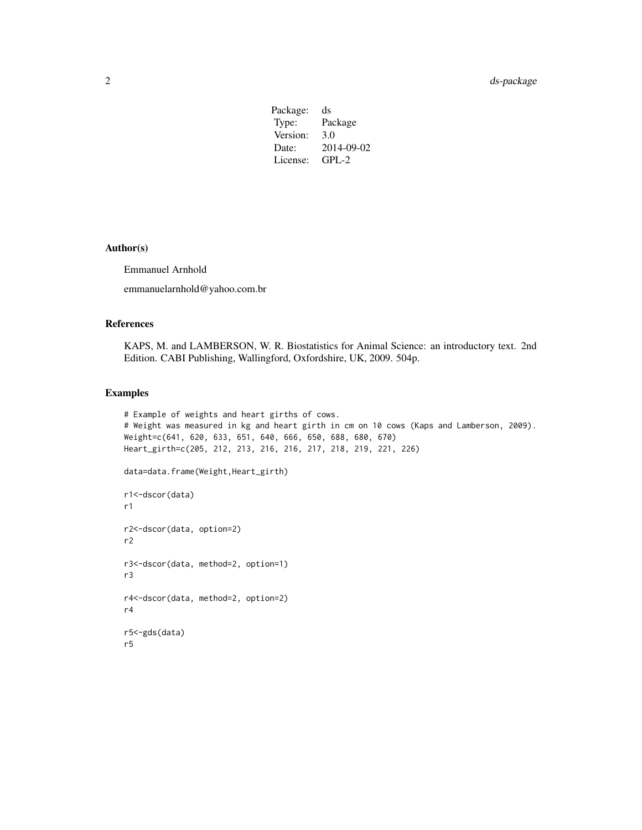| Package: | ds         |
|----------|------------|
| Type:    | Package    |
| Version: | 3.0        |
| Date:    | 2014-09-02 |
| License: | $GPL-2$    |
|          |            |

#### Author(s)

Emmanuel Arnhold

emmanuelarnhold@yahoo.com.br

#### References

KAPS, M. and LAMBERSON, W. R. Biostatistics for Animal Science: an introductory text. 2nd Edition. CABI Publishing, Wallingford, Oxfordshire, UK, 2009. 504p.

#### Examples

```
# Example of weights and heart girths of cows.
# Weight was measured in kg and heart girth in cm on 10 cows (Kaps and Lamberson, 2009).
Weight=c(641, 620, 633, 651, 640, 666, 650, 688, 680, 670)
Heart_girth=c(205, 212, 213, 216, 216, 217, 218, 219, 221, 226)
data=data.frame(Weight,Heart_girth)
r1<-dscor(data)
r1
r2<-dscor(data, option=2)
r2
r3<-dscor(data, method=2, option=1)
r3
r4<-dscor(data, method=2, option=2)
r4
r5<-gds(data)
r5
```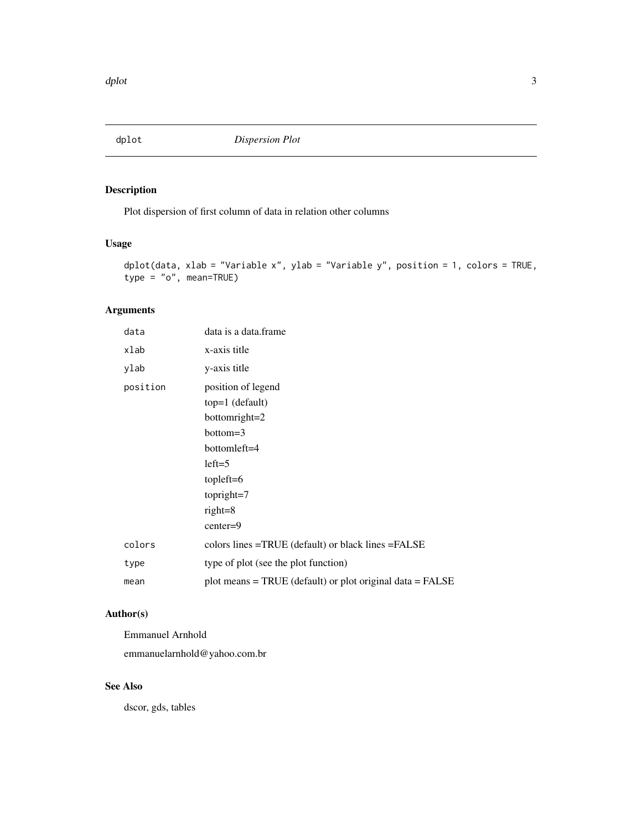<span id="page-2-0"></span>

### Description

Plot dispersion of first column of data in relation other columns

#### Usage

```
dplot(data, xlab = "Variable x", ylab = "Variable y", position = 1, colors = TRUE,
type = "o", mean=TRUE)
```
#### Arguments

| data     | data is a data.frame                                                                                                                                        |
|----------|-------------------------------------------------------------------------------------------------------------------------------------------------------------|
| xlab     | x-axis title                                                                                                                                                |
| ylab     | y-axis title                                                                                                                                                |
| position | position of legend<br>$top=1$ (default)<br>bottomright=2<br>$bottom=3$<br>bottomleft=4<br>$left=5$<br>tople $ft=6$<br>topright=7<br>$right=8$<br>$center=9$ |
| colors   | colors lines =TRUE (default) or black lines =FALSE                                                                                                          |
| type     | type of plot (see the plot function)                                                                                                                        |
| mean     | plot means $=$ TRUE (default) or plot original data $=$ FALSE                                                                                               |

#### Author(s)

Emmanuel Arnhold

emmanuelarnhold@yahoo.com.br

#### See Also

dscor, gds, tables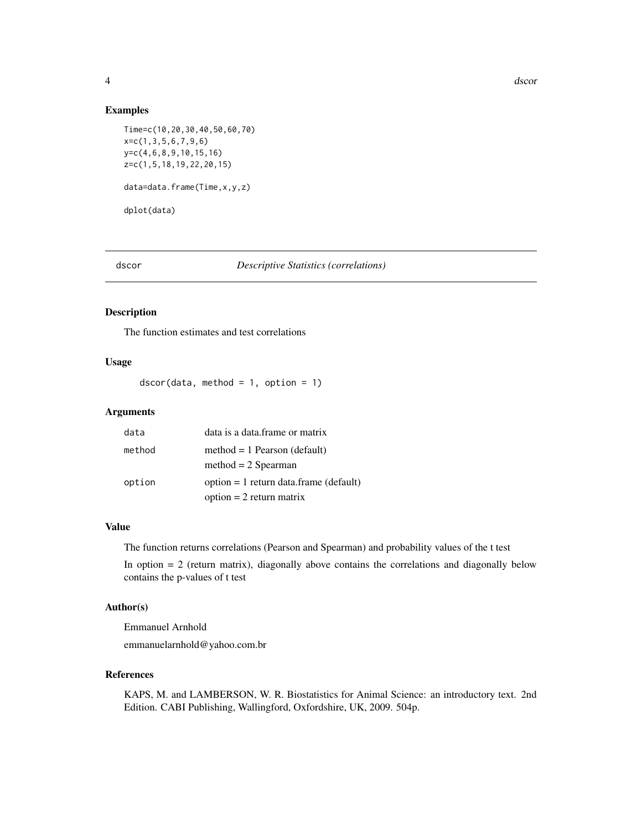#### <span id="page-3-0"></span>Examples

```
Time=c(10,20,30,40,50,60,70)
x=c(1,3,5,6,7,9,6)
y=c(4,6,8,9,10,15,16)
z=c(1,5,18,19,22,20,15)
data=data.frame(Time,x,y,z)
dplot(data)
```
#### dscor *Descriptive Statistics (correlations)*

#### Description

The function estimates and test correlations

#### Usage

 $dscor(data, method = 1, option = 1)$ 

#### Arguments

| data   | data is a data frame or matrix           |
|--------|------------------------------------------|
| method | $method = 1$ Pearson (default)           |
|        | $method = 2$ Spearman                    |
| option | $option = 1$ return data.frame (default) |
|        | $option = 2 return matrix$               |

#### Value

The function returns correlations (Pearson and Spearman) and probability values of the t test

In option  $= 2$  (return matrix), diagonally above contains the correlations and diagonally below contains the p-values of t test

#### Author(s)

Emmanuel Arnhold emmanuelarnhold@yahoo.com.br

#### References

KAPS, M. and LAMBERSON, W. R. Biostatistics for Animal Science: an introductory text. 2nd Edition. CABI Publishing, Wallingford, Oxfordshire, UK, 2009. 504p.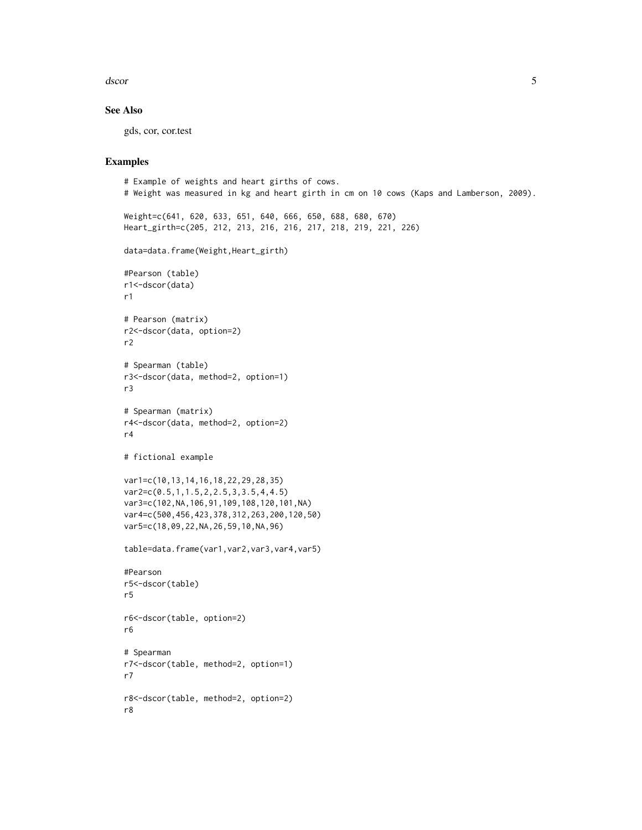dscor 5

#### See Also

gds, cor, cor.test

#### Examples

```
# Example of weights and heart girths of cows.
# Weight was measured in kg and heart girth in cm on 10 cows (Kaps and Lamberson, 2009).
Weight=c(641, 620, 633, 651, 640, 666, 650, 688, 680, 670)
Heart_girth=c(205, 212, 213, 216, 216, 217, 218, 219, 221, 226)
data=data.frame(Weight,Heart_girth)
#Pearson (table)
r1<-dscor(data)
r1
# Pearson (matrix)
r2<-dscor(data, option=2)
r2
# Spearman (table)
r3<-dscor(data, method=2, option=1)
r3
# Spearman (matrix)
r4<-dscor(data, method=2, option=2)
r4
# fictional example
var1=c(10,13,14,16,18,22,29,28,35)
var2=c(0.5,1,1.5,2,2.5,3,3.5,4,4.5)
var3=c(102,NA,106,91,109,108,120,101,NA)
var4=c(500,456,423,378,312,263,200,120,50)
var5=c(18,09,22,NA,26,59,10,NA,96)
table=data.frame(var1,var2,var3,var4,var5)
#Pearson
r5<-dscor(table)
r5
r6<-dscor(table, option=2)
r6
# Spearman
r7<-dscor(table, method=2, option=1)
r7
r8<-dscor(table, method=2, option=2)
r8
```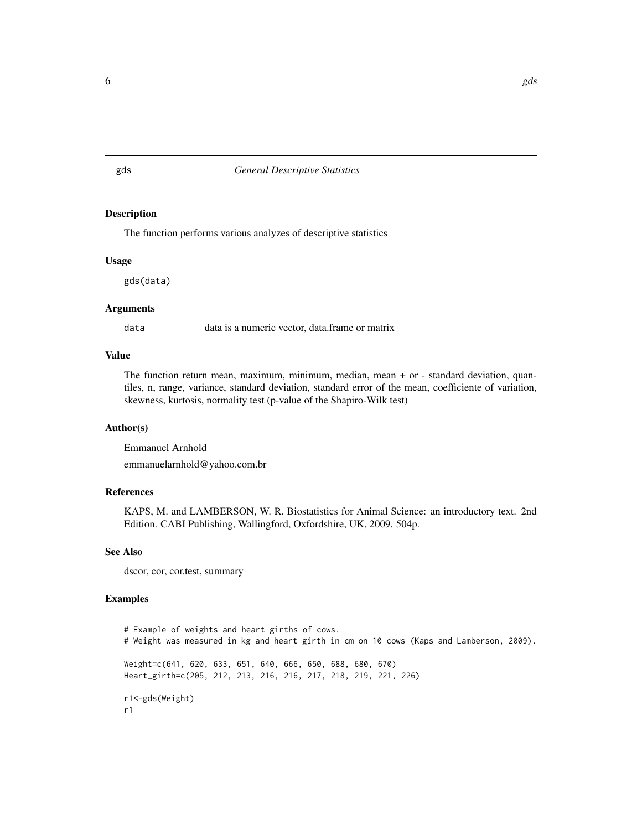#### <span id="page-5-0"></span>gds *General Descriptive Statistics*

#### Description

The function performs various analyzes of descriptive statistics

#### Usage

gds(data)

#### Arguments

data data is a numeric vector, data.frame or matrix

#### Value

The function return mean, maximum, minimum, median, mean + or - standard deviation, quantiles, n, range, variance, standard deviation, standard error of the mean, coefficiente of variation, skewness, kurtosis, normality test (p-value of the Shapiro-Wilk test)

#### Author(s)

Emmanuel Arnhold emmanuelarnhold@yahoo.com.br

#### References

KAPS, M. and LAMBERSON, W. R. Biostatistics for Animal Science: an introductory text. 2nd Edition. CABI Publishing, Wallingford, Oxfordshire, UK, 2009. 504p.

#### See Also

dscor, cor, cor.test, summary

#### Examples

# Example of weights and heart girths of cows. # Weight was measured in kg and heart girth in cm on 10 cows (Kaps and Lamberson, 2009). Weight=c(641, 620, 633, 651, 640, 666, 650, 688, 680, 670) Heart\_girth=c(205, 212, 213, 216, 216, 217, 218, 219, 221, 226) r1<-gds(Weight) r1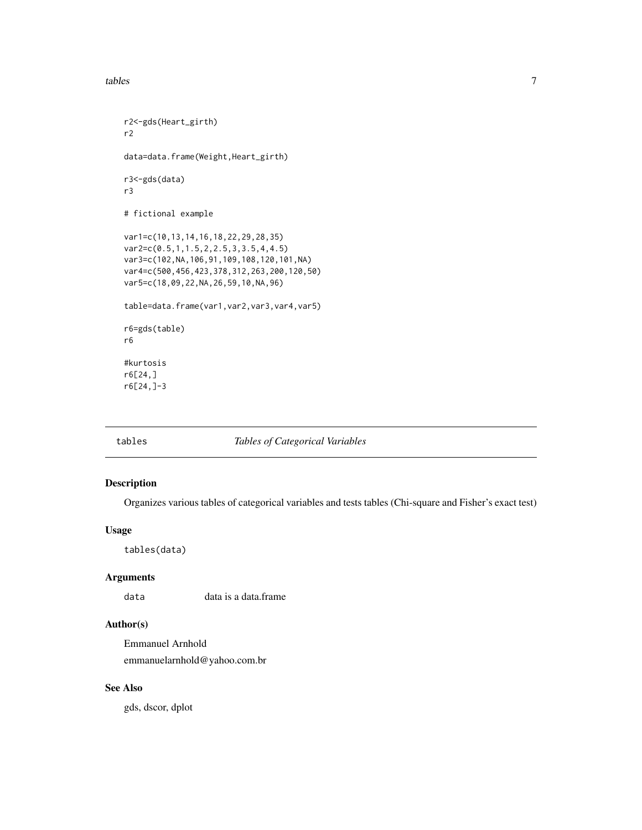<span id="page-6-0"></span>tables 7

```
r2<-gds(Heart_girth)
r2
data=data.frame(Weight,Heart_girth)
r3<-gds(data)
r3
# fictional example
var1=c(10,13,14,16,18,22,29,28,35)
var2=c(0.5,1,1.5,2,2.5,3,3.5,4,4.5)
var3=c(102,NA,106,91,109,108,120,101,NA)
var4=c(500,456,423,378,312,263,200,120,50)
var5=c(18,09,22,NA,26,59,10,NA,96)
table=data.frame(var1,var2,var3,var4,var5)
r6=gds(table)
r6
#kurtosis
r6[24,]
r6[24,]-3
```
#### tables *Tables of Categorical Variables*

#### Description

Organizes various tables of categorical variables and tests tables (Chi-square and Fisher's exact test)

#### Usage

tables(data)

#### Arguments

data data is a data.frame

#### Author(s)

Emmanuel Arnhold emmanuelarnhold@yahoo.com.br

#### See Also

gds, dscor, dplot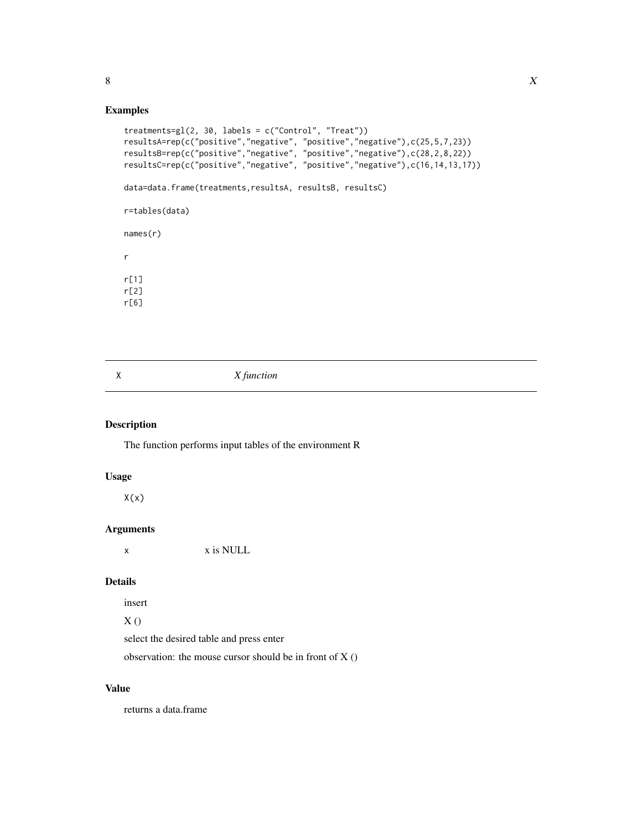#### <span id="page-7-0"></span>Examples

```
treatments=gl(2, 30, labels = c("Control", "Treat"))
resultsA=rep(c("positive","negative", "positive","negative"),c(25,5,7,23))
resultsB=rep(c("positive","negative", "positive","negative"),c(28,2,8,22))
resultsC=rep(c("positive","negative", "positive","negative"),c(16,14,13,17))
data=data.frame(treatments,resultsA, resultsB, resultsC)
r=tables(data)
names(r)
r
r[1]
r[2]
r[6]
```
X *X function*

#### Description

The function performs input tables of the environment R

#### Usage

 $X(x)$ 

#### Arguments

x x is NULL

### Details

insert

# $X()$

select the desired table and press enter

observation: the mouse cursor should be in front of X ()

#### Value

returns a data.frame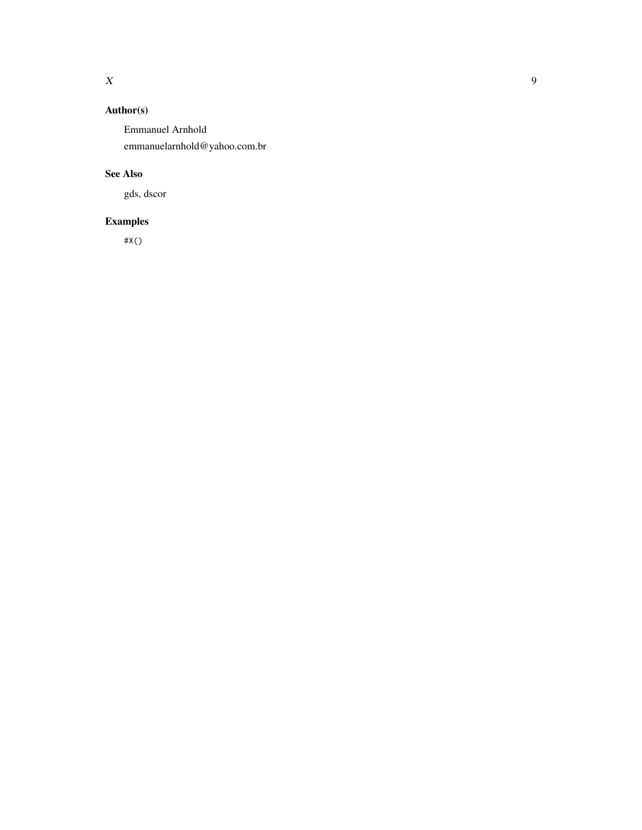## Author(s)

Emmanuel Arnhold emmanuelarnhold@yahoo.com.br

### See Also

gds, dscor

# Examples

#X()